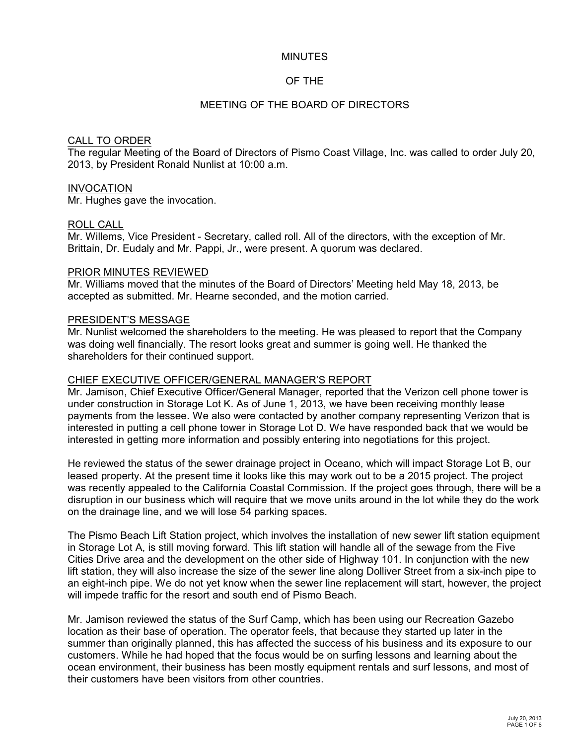#### MINUTES

### OF THE

### MEETING OF THE BOARD OF DIRECTORS

#### CALL TO ORDER

The regular Meeting of the Board of Directors of Pismo Coast Village, Inc. was called to order July 20, 2013, by President Ronald Nunlist at 10:00 a.m.

#### INVOCATION

Mr. Hughes gave the invocation.

#### ROLL CALL

Mr. Willems, Vice President - Secretary, called roll. All of the directors, with the exception of Mr. Brittain, Dr. Eudaly and Mr. Pappi, Jr., were present. A quorum was declared.

#### PRIOR MINUTES REVIEWED

Mr. Williams moved that the minutes of the Board of Directors' Meeting held May 18, 2013, be accepted as submitted. Mr. Hearne seconded, and the motion carried.

#### PRESIDENT'S MESSAGE

Mr. Nunlist welcomed the shareholders to the meeting. He was pleased to report that the Company was doing well financially. The resort looks great and summer is going well. He thanked the shareholders for their continued support.

#### CHIEF EXECUTIVE OFFICER/GENERAL MANAGER'S REPORT

Mr. Jamison, Chief Executive Officer/General Manager, reported that the Verizon cell phone tower is under construction in Storage Lot K. As of June 1, 2013, we have been receiving monthly lease payments from the lessee. We also were contacted by another company representing Verizon that is interested in putting a cell phone tower in Storage Lot D. We have responded back that we would be interested in getting more information and possibly entering into negotiations for this project.

He reviewed the status of the sewer drainage project in Oceano, which will impact Storage Lot B, our leased property. At the present time it looks like this may work out to be a 2015 project. The project was recently appealed to the California Coastal Commission. If the project goes through, there will be a disruption in our business which will require that we move units around in the lot while they do the work on the drainage line, and we will lose 54 parking spaces.

The Pismo Beach Lift Station project, which involves the installation of new sewer lift station equipment in Storage Lot A, is still moving forward. This lift station will handle all of the sewage from the Five Cities Drive area and the development on the other side of Highway 101. In conjunction with the new lift station, they will also increase the size of the sewer line along Dolliver Street from a six-inch pipe to an eight-inch pipe. We do not yet know when the sewer line replacement will start, however, the project will impede traffic for the resort and south end of Pismo Beach.

Mr. Jamison reviewed the status of the Surf Camp, which has been using our Recreation Gazebo location as their base of operation. The operator feels, that because they started up later in the summer than originally planned, this has affected the success of his business and its exposure to our customers. While he had hoped that the focus would be on surfing lessons and learning about the ocean environment, their business has been mostly equipment rentals and surf lessons, and most of their customers have been visitors from other countries.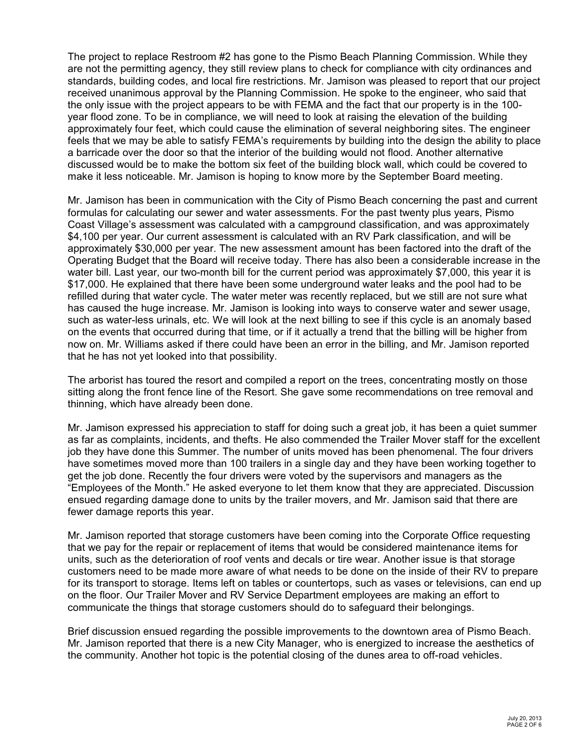The project to replace Restroom #2 has gone to the Pismo Beach Planning Commission. While they are not the permitting agency, they still review plans to check for compliance with city ordinances and standards, building codes, and local fire restrictions. Mr. Jamison was pleased to report that our project received unanimous approval by the Planning Commission. He spoke to the engineer, who said that the only issue with the project appears to be with FEMA and the fact that our property is in the 100 year flood zone. To be in compliance, we will need to look at raising the elevation of the building approximately four feet, which could cause the elimination of several neighboring sites. The engineer feels that we may be able to satisfy FEMA's requirements by building into the design the ability to place a barricade over the door so that the interior of the building would not flood. Another alternative discussed would be to make the bottom six feet of the building block wall, which could be covered to make it less noticeable. Mr. Jamison is hoping to know more by the September Board meeting.

Mr. Jamison has been in communication with the City of Pismo Beach concerning the past and current formulas for calculating our sewer and water assessments. For the past twenty plus years, Pismo Coast Village's assessment was calculated with a campground classification, and was approximately \$4,100 per year. Our current assessment is calculated with an RV Park classification, and will be approximately \$30,000 per year. The new assessment amount has been factored into the draft of the Operating Budget that the Board will receive today. There has also been a considerable increase in the water bill. Last year, our two-month bill for the current period was approximately \$7,000, this year it is \$17,000. He explained that there have been some underground water leaks and the pool had to be refilled during that water cycle. The water meter was recently replaced, but we still are not sure what has caused the huge increase. Mr. Jamison is looking into ways to conserve water and sewer usage, such as water-less urinals, etc. We will look at the next billing to see if this cycle is an anomaly based on the events that occurred during that time, or if it actually a trend that the billing will be higher from now on. Mr. Williams asked if there could have been an error in the billing, and Mr. Jamison reported that he has not yet looked into that possibility.

The arborist has toured the resort and compiled a report on the trees, concentrating mostly on those sitting along the front fence line of the Resort. She gave some recommendations on tree removal and thinning, which have already been done.

Mr. Jamison expressed his appreciation to staff for doing such a great job, it has been a quiet summer as far as complaints, incidents, and thefts. He also commended the Trailer Mover staff for the excellent job they have done this Summer. The number of units moved has been phenomenal. The four drivers have sometimes moved more than 100 trailers in a single day and they have been working together to get the job done. Recently the four drivers were voted by the supervisors and managers as the "Employees of the Month." He asked everyone to let them know that they are appreciated. Discussion ensued regarding damage done to units by the trailer movers, and Mr. Jamison said that there are fewer damage reports this year.

Mr. Jamison reported that storage customers have been coming into the Corporate Office requesting that we pay for the repair or replacement of items that would be considered maintenance items for units, such as the deterioration of roof vents and decals or tire wear. Another issue is that storage customers need to be made more aware of what needs to be done on the inside of their RV to prepare for its transport to storage. Items left on tables or countertops, such as vases or televisions, can end up on the floor. Our Trailer Mover and RV Service Department employees are making an effort to communicate the things that storage customers should do to safeguard their belongings.

Brief discussion ensued regarding the possible improvements to the downtown area of Pismo Beach. Mr. Jamison reported that there is a new City Manager, who is energized to increase the aesthetics of the community. Another hot topic is the potential closing of the dunes area to off-road vehicles.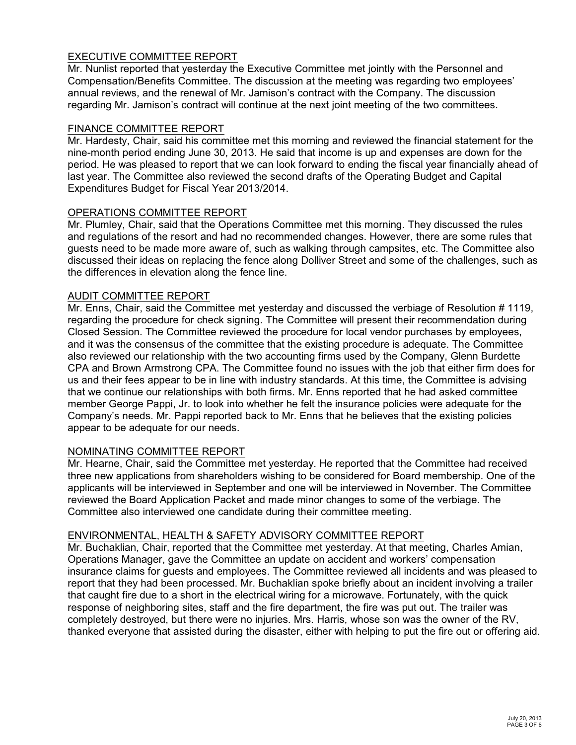# EXECUTIVE COMMITTEE REPORT

Mr. Nunlist reported that yesterday the Executive Committee met jointly with the Personnel and Compensation/Benefits Committee. The discussion at the meeting was regarding two employees' annual reviews, and the renewal of Mr. Jamison's contract with the Company. The discussion regarding Mr. Jamison's contract will continue at the next joint meeting of the two committees.

### FINANCE COMMITTEE REPORT

Mr. Hardesty, Chair, said his committee met this morning and reviewed the financial statement for the nine-month period ending June 30, 2013. He said that income is up and expenses are down for the period. He was pleased to report that we can look forward to ending the fiscal year financially ahead of last year. The Committee also reviewed the second drafts of the Operating Budget and Capital Expenditures Budget for Fiscal Year 2013/2014.

# OPERATIONS COMMITTEE REPORT

Mr. Plumley, Chair, said that the Operations Committee met this morning. They discussed the rules and regulations of the resort and had no recommended changes. However, there are some rules that guests need to be made more aware of, such as walking through campsites, etc. The Committee also discussed their ideas on replacing the fence along Dolliver Street and some of the challenges, such as the differences in elevation along the fence line.

### AUDIT COMMITTEE REPORT

Mr. Enns, Chair, said the Committee met yesterday and discussed the verbiage of Resolution # 1119, regarding the procedure for check signing. The Committee will present their recommendation during Closed Session. The Committee reviewed the procedure for local vendor purchases by employees, and it was the consensus of the committee that the existing procedure is adequate. The Committee also reviewed our relationship with the two accounting firms used by the Company, Glenn Burdette CPA and Brown Armstrong CPA. The Committee found no issues with the job that either firm does for us and their fees appear to be in line with industry standards. At this time, the Committee is advising that we continue our relationships with both firms. Mr. Enns reported that he had asked committee member George Pappi, Jr. to look into whether he felt the insurance policies were adequate for the Company's needs. Mr. Pappi reported back to Mr. Enns that he believes that the existing policies appear to be adequate for our needs.

# NOMINATING COMMITTEE REPORT

Mr. Hearne, Chair, said the Committee met yesterday. He reported that the Committee had received three new applications from shareholders wishing to be considered for Board membership. One of the applicants will be interviewed in September and one will be interviewed in November. The Committee reviewed the Board Application Packet and made minor changes to some of the verbiage. The Committee also interviewed one candidate during their committee meeting.

# ENVIRONMENTAL, HEALTH & SAFETY ADVISORY COMMITTEE REPORT

Mr. Buchaklian, Chair, reported that the Committee met yesterday. At that meeting, Charles Amian, Operations Manager, gave the Committee an update on accident and workers' compensation insurance claims for guests and employees. The Committee reviewed all incidents and was pleased to report that they had been processed. Mr. Buchaklian spoke briefly about an incident involving a trailer that caught fire due to a short in the electrical wiring for a microwave. Fortunately, with the quick response of neighboring sites, staff and the fire department, the fire was put out. The trailer was completely destroyed, but there were no injuries. Mrs. Harris, whose son was the owner of the RV, thanked everyone that assisted during the disaster, either with helping to put the fire out or offering aid.